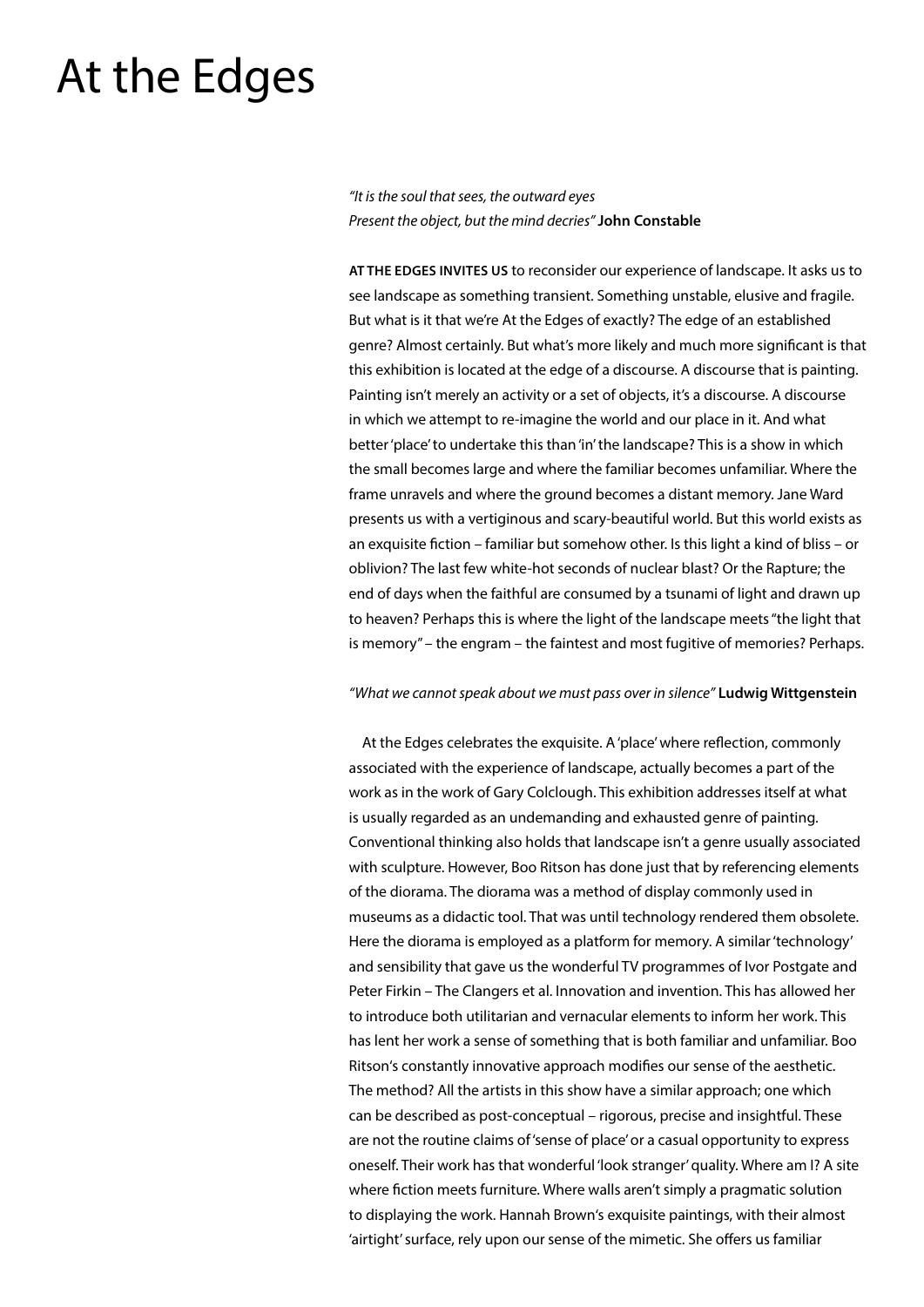# At the Edges

*"It is the soul that sees, the outward eyes Present the object, but the mind decries"* **John Constable**

**AT THE EDGES INVITES US** to reconsider our experience of landscape. It asks us to see landscape as something transient. Something unstable, elusive and fragile. But what is it that we're At the Edges of exactly? The edge of an established genre? Almost certainly. But what's more likely and much more significant is that this exhibition is located at the edge of a discourse. A discourse that is painting. Painting isn't merely an activity or a set of objects, it's a discourse. A discourse in which we attempt to re-imagine the world and our place in it. And what better 'place' to undertake this than 'in' the landscape? This is a show in which the small becomes large and where the familiar becomes unfamiliar. Where the frame unravels and where the ground becomes a distant memory. Jane Ward presents us with a vertiginous and scary-beautiful world. But this world exists as an exquisite fiction – familiar but somehow other. Is this light a kind of bliss – or oblivion? The last few white-hot seconds of nuclear blast? Or the Rapture; the end of days when the faithful are consumed by a tsunami of light and drawn up to heaven? Perhaps this is where the light of the landscape meets "the light that is memory" – the engram – the faintest and most fugitive of memories? Perhaps.

#### *"What we cannot speak about we must pass over in silence"* **Ludwig Wittgenstein**

At the Edges celebrates the exquisite. A 'place' where reflection, commonly associated with the experience of landscape, actually becomes a part of the work as in the work of Gary Colclough. This exhibition addresses itself at what is usually regarded as an undemanding and exhausted genre of painting. Conventional thinking also holds that landscape isn't a genre usually associated with sculpture. However, Boo Ritson has done just that by referencing elements of the diorama. The diorama was a method of display commonly used in museums as a didactic tool. That was until technology rendered them obsolete. Here the diorama is employed as a platform for memory. A similar 'technology' and sensibility that gave us the wonderful TV programmes of Ivor Postgate and Peter Firkin – The Clangers et al. Innovation and invention. This has allowed her to introduce both utilitarian and vernacular elements to inform her work. This has lent her work a sense of something that is both familiar and unfamiliar. Boo Ritson's constantly innovative approach modifies our sense of the aesthetic. The method? All the artists in this show have a similar approach; one which can be described as post-conceptual – rigorous, precise and insightful. These are not the routine claims of 'sense of place' or a casual opportunity to express oneself. Their work has that wonderful 'look stranger' quality. Where am I? A site where fiction meets furniture. Where walls aren't simply a pragmatic solution to displaying the work. Hannah Brown's exquisite paintings, with their almost 'airtight' surface, rely upon our sense of the mimetic. She offers us familiar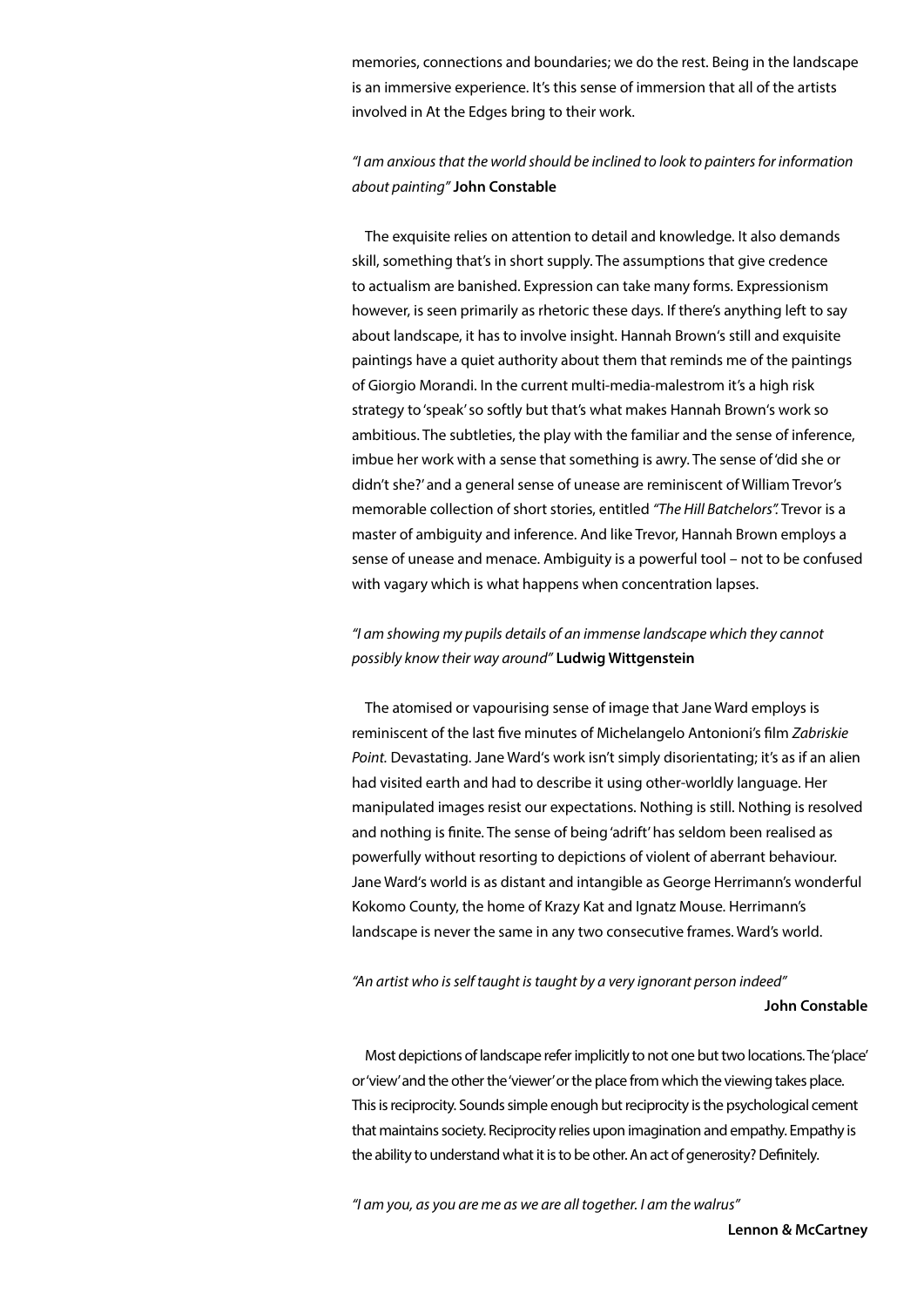memories, connections and boundaries; we do the rest. Being in the landscape is an immersive experience. It's this sense of immersion that all of the artists involved in At the Edges bring to their work.

## *"I am anxious that the world should be inclined to look to painters for information about painting"* **John Constable**

The exquisite relies on attention to detail and knowledge. It also demands skill, something that's in short supply. The assumptions that give credence to actualism are banished. Expression can take many forms. Expressionism however, is seen primarily as rhetoric these days. If there's anything left to say about landscape, it has to involve insight. Hannah Brown's still and exquisite paintings have a quiet authority about them that reminds me of the paintings of Giorgio Morandi. In the current multi-media-malestrom it's a high risk strategy to 'speak' so softly but that's what makes Hannah Brown's work so ambitious. The subtleties, the play with the familiar and the sense of inference, imbue her work with a sense that something is awry. The sense of 'did she or didn't she?' and a general sense of unease are reminiscent of William Trevor's memorable collection of short stories, entitled *"The Hill Batchelors".* Trevor is a master of ambiguity and inference. And like Trevor, Hannah Brown employs a sense of unease and menace. Ambiguity is a powerful tool – not to be confused with vagary which is what happens when concentration lapses.

### *"I am showing my pupils details of an immense landscape which they cannot possibly know their way around"* **Ludwig Wittgenstein**

The atomised or vapourising sense of image that Jane Ward employs is reminiscent of the last five minutes of Michelangelo Antonioni's film *Zabriskie Point.* Devastating. Jane Ward's work isn't simply disorientating; it's as if an alien had visited earth and had to describe it using other-worldly language. Her manipulated images resist our expectations. Nothing is still. Nothing is resolved and nothing is finite. The sense of being 'adrift' has seldom been realised as powerfully without resorting to depictions of violent of aberrant behaviour. Jane Ward's world is as distant and intangible as George Herrimann's wonderful Kokomo County, the home of Krazy Kat and Ignatz Mouse. Herrimann's landscape is never the same in any two consecutive frames. Ward's world.

#### *"An artist who is self taught is taught by a very ignorant person indeed"*  **John Constable**

Most depictions of landscape refer implicitly to not one but two locations. The 'place' or 'view' and the other the 'viewer' or the place from which the viewing takes place. This is reciprocity. Sounds simple enough but reciprocity is the psychological cement that maintains society. Reciprocity relies upon imagination and empathy. Empathy is the ability to understand what it is to be other. An act of generosity? Definitely.

*"I am you, as you are me as we are all together. I am the walrus"*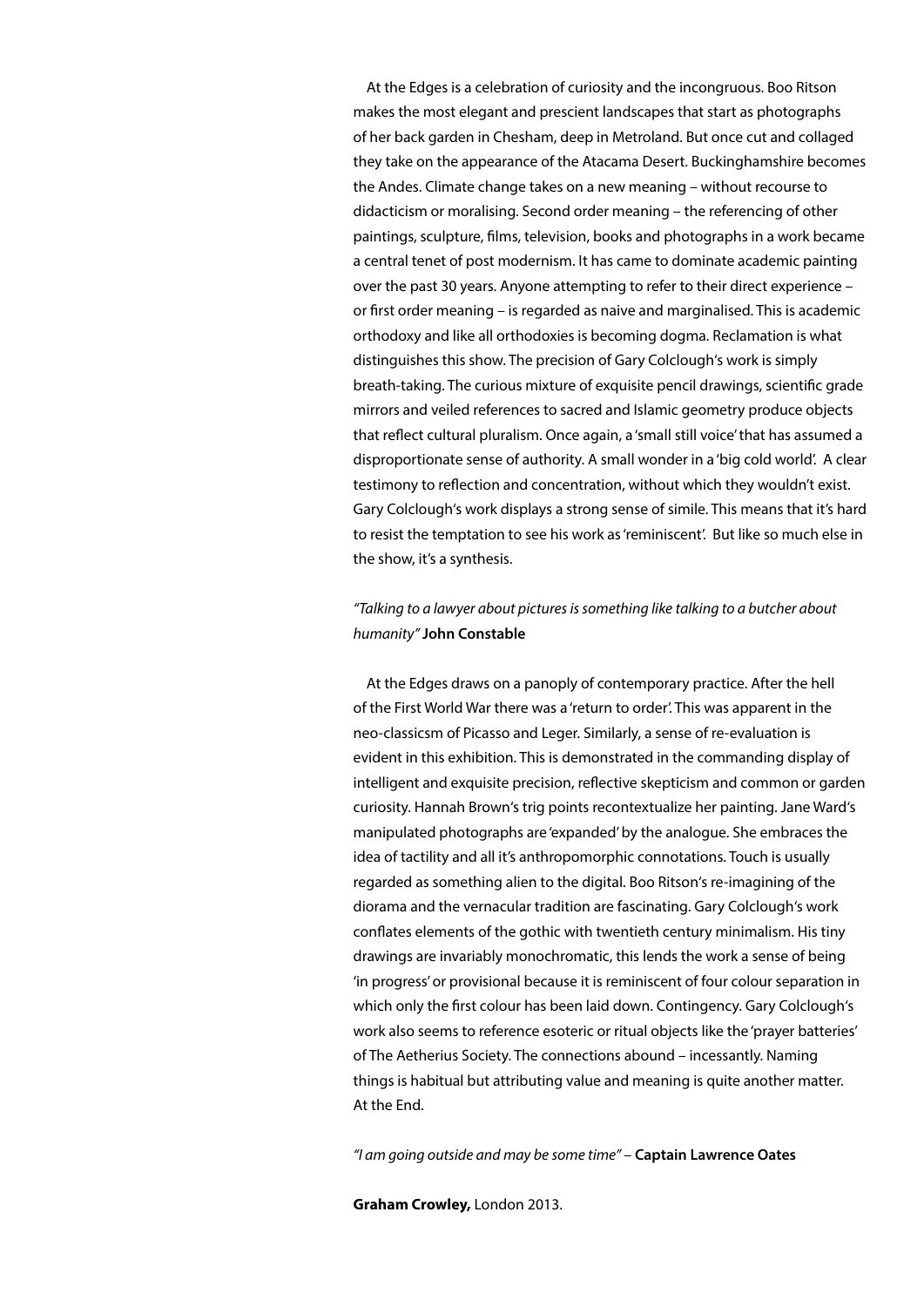At the Edges is a celebration of curiosity and the incongruous. Boo Ritson makes the most elegant and prescient landscapes that start as photographs of her back garden in Chesham, deep in Metroland. But once cut and collaged they take on the appearance of the Atacama Desert. Buckinghamshire becomes the Andes. Climate change takes on a new meaning – without recourse to didacticism or moralising. Second order meaning – the referencing of other paintings, sculpture, films, television, books and photographs in a work became a central tenet of post modernism. It has came to dominate academic painting over the past 30 years. Anyone attempting to refer to their direct experience – or first order meaning – is regarded as naive and marginalised. This is academic orthodoxy and like all orthodoxies is becoming dogma. Reclamation is what distinguishes this show. The precision of Gary Colclough's work is simply breath-taking. The curious mixture of exquisite pencil drawings, scientific grade mirrors and veiled references to sacred and Islamic geometry produce objects that reflect cultural pluralism. Once again, a 'small still voice' that has assumed a disproportionate sense of authority. A small wonder in a 'big cold world'. A clear testimony to reflection and concentration, without which they wouldn't exist. Gary Colclough's work displays a strong sense of simile. This means that it's hard to resist the temptation to see his work as 'reminiscent'. But like so much else in the show, it's a synthesis.

#### *"Talking to a lawyer about pictures is something like talking to a butcher about humanity"* **John Constable**

At the Edges draws on a panoply of contemporary practice. After the hell of the First World War there was a 'return to order'. This was apparent in the neo-classicsm of Picasso and Leger. Similarly, a sense of re-evaluation is evident in this exhibition. This is demonstrated in the commanding display of intelligent and exquisite precision, reflective skepticism and common or garden curiosity. Hannah Brown's trig points recontextualize her painting. Jane Ward's manipulated photographs are 'expanded' by the analogue. She embraces the idea of tactility and all it's anthropomorphic connotations. Touch is usually regarded as something alien to the digital. Boo Ritson's re-imagining of the diorama and the vernacular tradition are fascinating. Gary Colclough's work conflates elements of the gothic with twentieth century minimalism. His tiny drawings are invariably monochromatic, this lends the work a sense of being 'in progress' or provisional because it is reminiscent of four colour separation in which only the first colour has been laid down. Contingency. Gary Colclough's work also seems to reference esoteric or ritual objects like the 'prayer batteries' of The Aetherius Society. The connections abound – incessantly. Naming things is habitual but attributing value and meaning is quite another matter. At the End.

*"I am going outside and may be some time"* – **Captain Lawrence Oates**

**Graham Crowley,** London 2013.